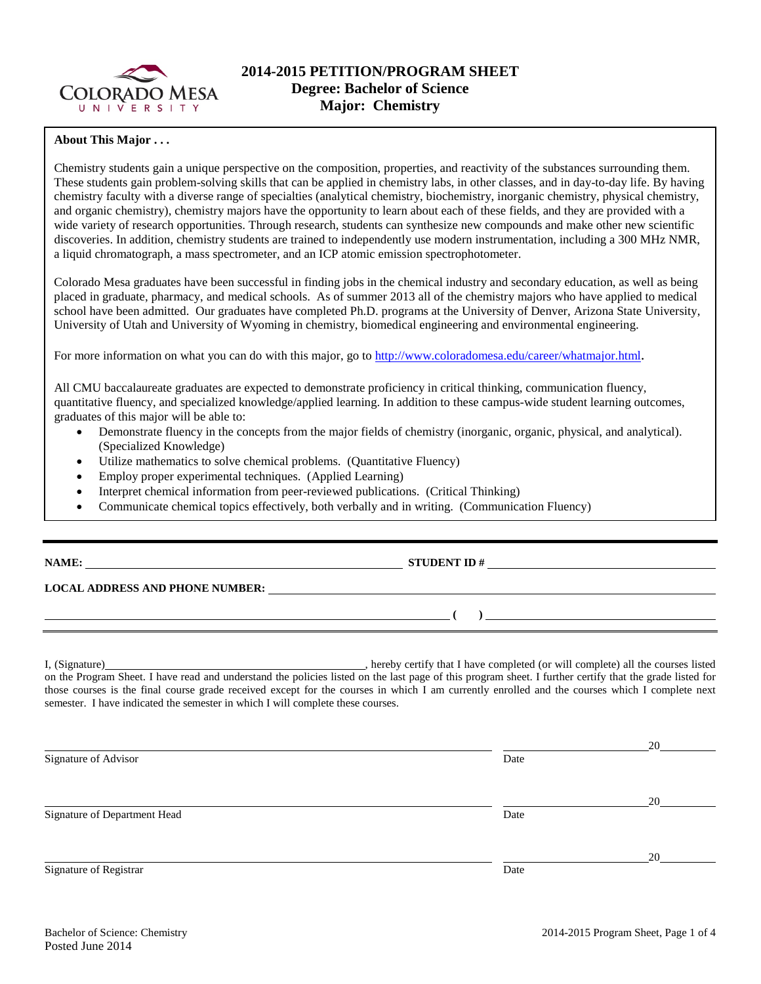

## **About This Major . . .**

Chemistry students gain a unique perspective on the composition, properties, and reactivity of the substances surrounding them. These students gain problem-solving skills that can be applied in chemistry labs, in other classes, and in day-to-day life. By having chemistry faculty with a diverse range of specialties (analytical chemistry, biochemistry, inorganic chemistry, physical chemistry, and organic chemistry), chemistry majors have the opportunity to learn about each of these fields, and they are provided with a wide variety of research opportunities. Through research, students can synthesize new compounds and make other new scientific discoveries. In addition, chemistry students are trained to independently use modern instrumentation, including a 300 MHz NMR, a liquid chromatograph, a mass spectrometer, and an ICP atomic emission spectrophotometer.

Colorado Mesa graduates have been successful in finding jobs in the chemical industry and secondary education, as well as being placed in graduate, pharmacy, and medical schools. As of summer 2013 all of the chemistry majors who have applied to medical school have been admitted. Our graduates have completed Ph.D. programs at the University of Denver, Arizona State University, University of Utah and University of Wyoming in chemistry, biomedical engineering and environmental engineering.

For more information on what you can do with this major, go to [http://www.coloradomesa.edu/career/whatmajor.html.](http://www.coloradomesa.edu/career/whatmajor.html)

All CMU baccalaureate graduates are expected to demonstrate proficiency in critical thinking, communication fluency, quantitative fluency, and specialized knowledge/applied learning. In addition to these campus-wide student learning outcomes, graduates of this major will be able to:

- Demonstrate fluency in the concepts from the major fields of chemistry (inorganic, organic, physical, and analytical). (Specialized Knowledge)
- Utilize mathematics to solve chemical problems. (Quantitative Fluency)
- Employ proper experimental techniques. (Applied Learning)
- Interpret chemical information from peer-reviewed publications. (Critical Thinking)
- Communicate chemical topics effectively, both verbally and in writing. (Communication Fluency)

**NAME: STUDENT ID #**

## **LOCAL ADDRESS AND PHONE NUMBER:**

**( )** 

I, (Signature) **Manual Completed** (or will complete) all the courses listed on the Program Sheet. I have read and understand the policies listed on the last page of this program sheet. I further certify that the grade listed for those courses is the final course grade received except for the courses in which I am currently enrolled and the courses which I complete next semester. I have indicated the semester in which I will complete these courses.

|                              |      | 20 |
|------------------------------|------|----|
| Signature of Advisor         | Date |    |
|                              |      | 20 |
| Signature of Department Head | Date |    |
|                              |      | 20 |
| Signature of Registrar       | Date |    |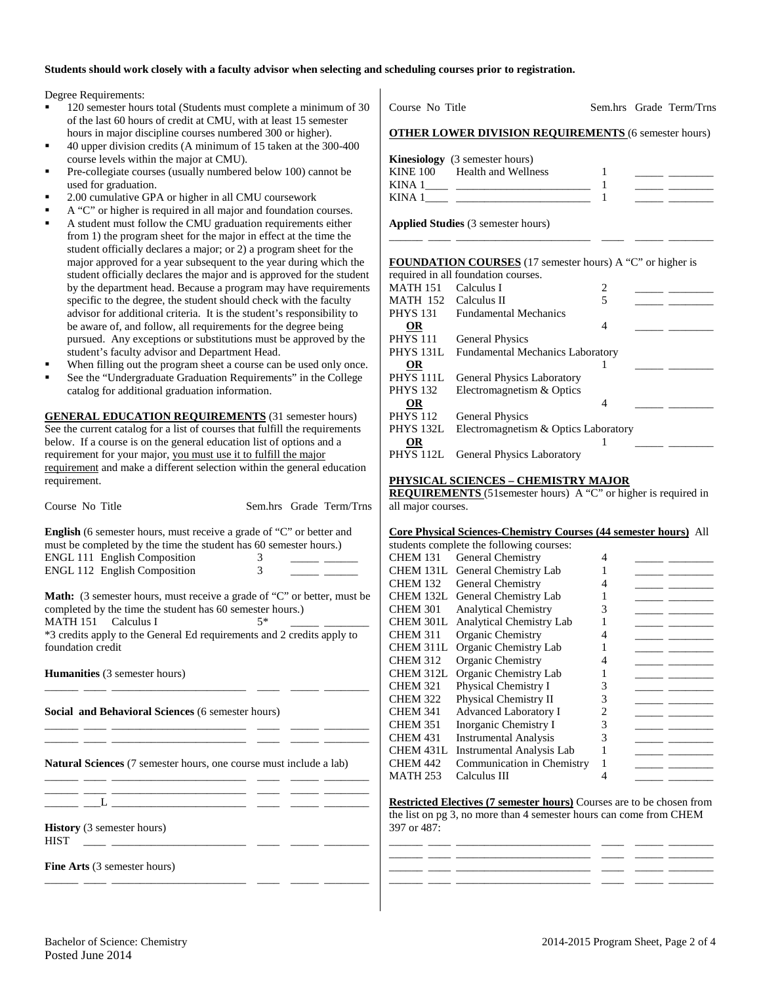### **Students should work closely with a faculty advisor when selecting and scheduling courses prior to registration.**

Degree Requirements:

- 120 semester hours total (Students must complete a minimum of 30 of the last 60 hours of credit at CMU, with at least 15 semester hours in major discipline courses numbered 300 or higher).
- 40 upper division credits (A minimum of 15 taken at the 300-400 course levels within the major at CMU).
- Pre-collegiate courses (usually numbered below 100) cannot be used for graduation.
- 2.00 cumulative GPA or higher in all CMU coursework
- A "C" or higher is required in all major and foundation courses. A student must follow the CMU graduation requirements either from 1) the program sheet for the major in effect at the time the student officially declares a major; or 2) a program sheet for the major approved for a year subsequent to the year during which the student officially declares the major and is approved for the student by the department head. Because a program may have requirements specific to the degree, the student should check with the faculty
- advisor for additional criteria. It is the student's responsibility to be aware of, and follow, all requirements for the degree being pursued. Any exceptions or substitutions must be approved by the student's faculty advisor and Department Head.
- When filling out the program sheet a course can be used only once.
- See the "Undergraduate Graduation Requirements" in the College catalog for additional graduation information.

**GENERAL EDUCATION REQUIREMENTS** (31 semester hours) See the current catalog for a list of courses that fulfill the requirements below. If a course is on the general education list of options and a requirement for your major, you must use it to fulfill the major requirement and make a different selection within the general education requirement.

| Course No Title                                                                                                                                                                                                  |                                                                                                                                                     |  | Sem.hrs Grade Term/Trns |  |  |  |  |  |
|------------------------------------------------------------------------------------------------------------------------------------------------------------------------------------------------------------------|-----------------------------------------------------------------------------------------------------------------------------------------------------|--|-------------------------|--|--|--|--|--|
| <b>English</b> (6 semester hours, must receive a grade of "C" or better and<br>must be completed by the time the student has 60 semester hours.)<br>ENGL 111 English Composition<br>ENGL 112 English Composition | 3<br>$\mathcal{E}$                                                                                                                                  |  |                         |  |  |  |  |  |
| MATH 151 Calculus I<br>*3 credits apply to the General Ed requirements and 2 credits apply to                                                                                                                    | <b>Math:</b> (3 semester hours, must receive a grade of "C" or better, must be<br>completed by the time the student has 60 semester hours.)<br>$5*$ |  |                         |  |  |  |  |  |
| foundation credit                                                                                                                                                                                                |                                                                                                                                                     |  |                         |  |  |  |  |  |
| <b>Humanities</b> (3 semester hours)                                                                                                                                                                             |                                                                                                                                                     |  |                         |  |  |  |  |  |
| Social and Behavioral Sciences (6 semester hours)                                                                                                                                                                |                                                                                                                                                     |  |                         |  |  |  |  |  |
| <b>Natural Sciences</b> (7 semester hours, one course must include a lab)<br><u> 2008 - Andrea Statistica de Antonio de San Antonio de Antonio de San Antonio de Antonio de San Antonio de Sa</u>                |                                                                                                                                                     |  |                         |  |  |  |  |  |
|                                                                                                                                                                                                                  |                                                                                                                                                     |  |                         |  |  |  |  |  |
| History (3 semester hours)<br><b>HIST</b>                                                                                                                                                                        |                                                                                                                                                     |  |                         |  |  |  |  |  |
| <b>Fine Arts</b> (3 semester hours)<br>- -                                                                                                                                                                       |                                                                                                                                                     |  |                         |  |  |  |  |  |

**Kinesiology** (3 semester hours) KINE 100 Health and Wellness 1 \_\_\_\_\_ \_\_\_\_\_\_\_\_ KINA 1\_\_\_\_ \_\_\_\_\_\_\_\_\_\_\_\_\_\_\_\_\_\_\_\_\_\_\_\_ 1 \_\_\_\_\_ \_\_\_\_\_\_\_\_ KINA 1\_\_\_\_ \_\_\_\_\_\_\_\_\_\_\_\_\_\_\_\_\_\_\_\_\_\_\_\_ 1 \_\_\_\_\_ \_\_\_\_\_\_\_\_ **Applied Studies** (3 semester hours) \_\_\_\_\_\_ \_\_\_\_ \_\_\_\_\_\_\_\_\_\_\_\_\_\_\_\_\_\_\_\_\_\_\_\_ \_\_\_\_ \_\_\_\_\_ \_\_\_\_\_\_\_\_ **FOUNDATION COURSES** (17 semester hours) A "C" or higher is required in all foundation courses. MATH 151 Calculus I 2<br>MATH 152 Calculus II 5 MATH 152 Calculus II<br>PHYS 131 Fundamenta Fundamental Mechanics **OR** 4 \_\_\_\_\_ \_\_\_\_\_\_\_\_ PHYS 111 General Physics PHYS 131L Fundamental Mechanics Laboratory **OR** 1 \_\_\_\_\_ \_\_\_\_\_\_\_\_ PHYS 111L General Physics Laboratory<br>PHYS 132 Electromagnetism & Optics Electromagnetism & Optics **OR** 4 \_\_\_\_\_ \_\_\_\_\_\_\_\_ PHYS 112 General Physics PHYS 132L Electromagnetism & Optics Laboratory **OR** 1 \_\_\_\_\_ \_\_\_\_\_\_\_\_ PHYS 112L General Physics Laboratory **PHYSICAL SCIENCES – CHEMISTRY MAJOR REQUIREMENTS** (51 semester hours) A "C" or higher is required in all major courses.

#### **Core Physical Sciences-Chemistry Courses (44 semester hours)** All

Course No Title Sem.hrs Grade Term/Trns

**OTHER LOWER DIVISION REQUIREMENTS** (6 semester hours)

|                  | Core i hysical sciences enemistry courses (44 semester hours) |   |  |
|------------------|---------------------------------------------------------------|---|--|
|                  | students complete the following courses:                      |   |  |
| <b>CHEM 131</b>  | General Chemistry                                             | 4 |  |
| CHEM 131L        | General Chemistry Lab                                         |   |  |
| <b>CHEM 132</b>  | <b>General Chemistry</b>                                      |   |  |
| CHEM 132L        | General Chemistry Lab                                         |   |  |
| <b>CHEM 301</b>  | <b>Analytical Chemistry</b>                                   | 3 |  |
| CHEM 301L        | Analytical Chemistry Lab                                      |   |  |
| <b>CHEM 311</b>  | Organic Chemistry                                             |   |  |
| CHEM 311L        | Organic Chemistry Lab                                         |   |  |
| <b>CHEM 312</b>  | Organic Chemistry                                             |   |  |
| CHEM 312L        | Organic Chemistry Lab                                         |   |  |
| <b>CHEM 321</b>  | Physical Chemistry I                                          | 3 |  |
| <b>CHEM 322</b>  | Physical Chemistry II                                         | 3 |  |
| <b>CHEM 341</b>  | <b>Advanced Laboratory I</b>                                  |   |  |
| <b>CHEM 351</b>  | Inorganic Chemistry I                                         | 3 |  |
| CHEM 431         | <b>Instrumental Analysis</b>                                  | 3 |  |
| <b>CHEM 431L</b> | <b>Instrumental Analysis Lab</b>                              |   |  |
| CHEM 442         | Communication in Chemistry                                    |   |  |
| MATH 253         | Calculus III                                                  |   |  |
|                  |                                                               |   |  |

**Restricted Electives (7 semester hours)** Courses are to be chosen from the list on pg 3, no more than 4 semester hours can come from CHEM 397 or 487:

\_\_\_\_\_\_ \_\_\_\_ \_\_\_\_\_\_\_\_\_\_\_\_\_\_\_\_\_\_\_\_\_\_\_\_ \_\_\_\_ \_\_\_\_\_ \_\_\_\_\_\_\_\_

\_\_\_\_\_\_ \_\_\_\_ \_\_\_\_\_\_\_\_\_\_\_\_\_\_\_\_\_\_\_\_\_\_\_\_ \_\_\_\_ \_\_\_\_\_ \_\_\_\_\_\_\_\_ \_\_\_\_\_\_ \_\_\_\_ \_\_\_\_\_\_\_\_\_\_\_\_\_\_\_\_\_\_\_\_\_\_\_\_ \_\_\_\_ \_\_\_\_\_ \_\_\_\_\_\_\_\_

\_\_\_\_\_\_ \_\_\_\_ \_\_\_\_\_\_\_\_\_\_\_\_\_\_\_\_\_\_\_\_\_\_\_\_ \_\_\_\_ \_\_\_\_\_ \_\_\_\_\_\_\_\_

Posted June 2014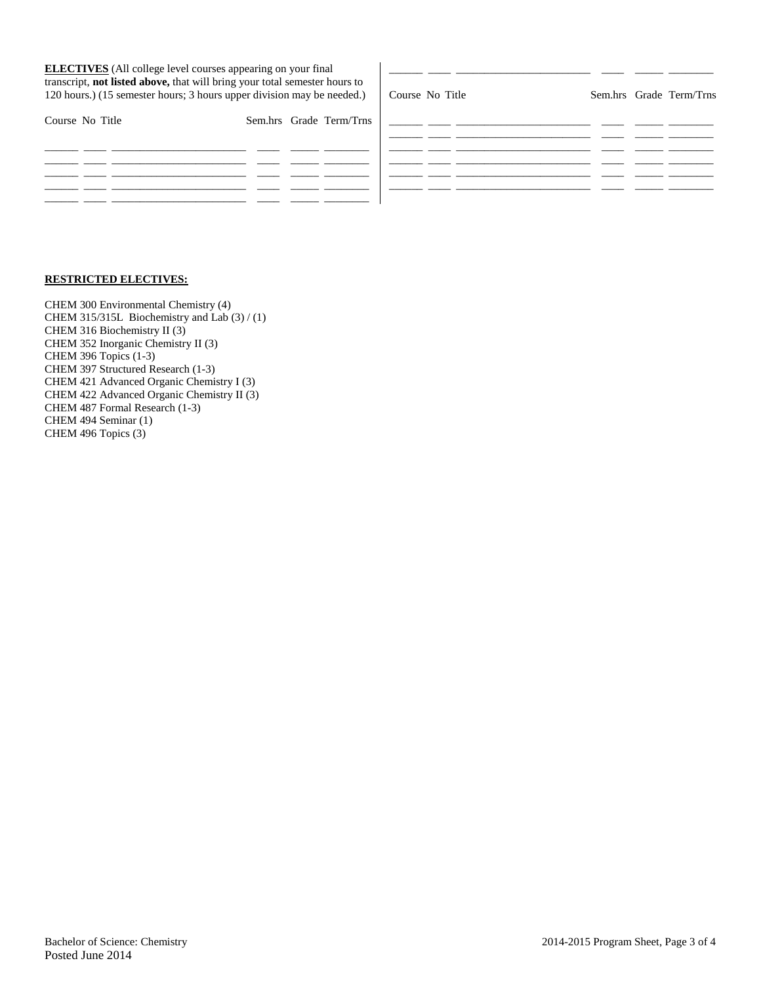| <b>ELECTIVES</b> (All college level courses appearing on your final<br>transcript, not listed above, that will bring your total semester hours to<br>120 hours.) (15 semester hours; 3 hours upper division may be needed.) |                         | Course No Title |  | Sem.hrs Grade Term/Trns |
|-----------------------------------------------------------------------------------------------------------------------------------------------------------------------------------------------------------------------------|-------------------------|-----------------|--|-------------------------|
| Course No Title                                                                                                                                                                                                             | Sem.hrs Grade Term/Trns |                 |  |                         |
|                                                                                                                                                                                                                             |                         |                 |  |                         |
|                                                                                                                                                                                                                             |                         |                 |  |                         |
|                                                                                                                                                                                                                             |                         |                 |  |                         |

# **RESTRICTED ELECTIVES:**

CHEM 300 Environmental Chemistry (4) CHEM 315/315L Biochemistry and Lab (3) / (1) CHEM 316 Biochemistry II (3) CHEM 352 Inorganic Chemistry II (3) CHEM 396 Topics (1-3) CHEM 397 Structured Research (1-3) CHEM 421 Advanced Organic Chemistry I (3) CHEM 422 Advanced Organic Chemistry II (3) CHEM 487 Formal Research (1-3) CHEM 494 Seminar (1) CHEM 496 Topics (3)